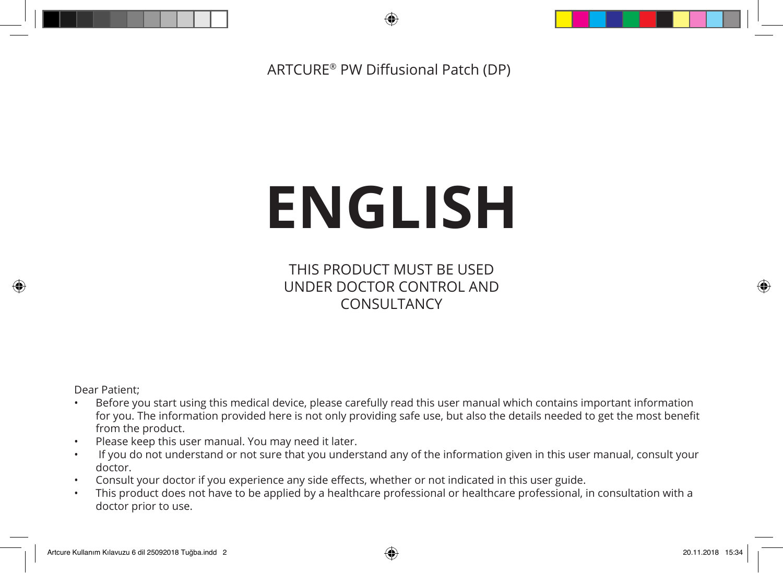ARTCURE® PW Diffusional Patch (DP)

# **ENGLISH**

THIS PRODUCT MUST BE USED UNDER DOCTOR CONTROL AND CONSULTANCY

Dear Patient;

⊕

- Before you start using this medical device, please carefully read this user manual which contains important information for you. The information provided here is not only providing safe use, but also the details needed to get the most benefit from the product.
- Please keep this user manual. You may need it later.
- If you do not understand or not sure that you understand any of the information given in this user manual, consult your doctor.
- Consult your doctor if you experience any side effects, whether or not indicated in this user guide.
- This product does not have to be applied by a healthcare professional or healthcare professional, in consultation with a doctor prior to use.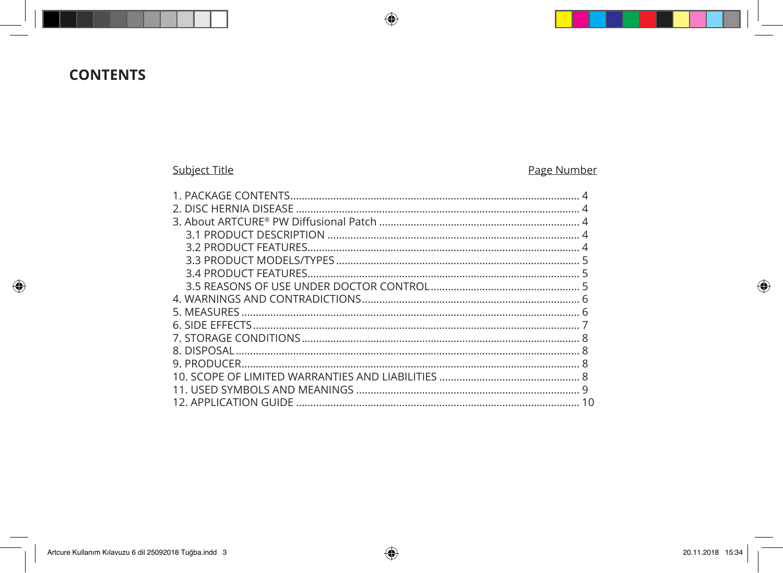# **CONTENTS**

 $\bigoplus$ 

## Subject Title

## Page Number

| 10 |
|----|
|    |

 $\bigoplus$ 

 $\bigoplus$ 

 $\bigoplus$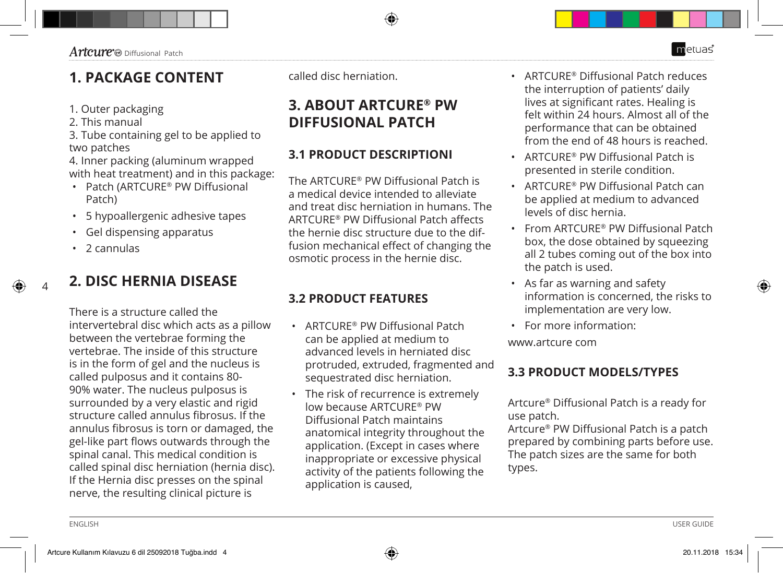## **1. PACKAGE CONTENT**

- 1. Outer packaging
- 2. This manual
- 3. Tube containing gel to be applied to two patches

4. Inner packing (aluminum wrapped with heat treatment) and in this package:

- Patch (ARTCURE® PW Diffusional Patch)
- 5 hypoallergenic adhesive tapes
- Gel dispensing apparatus
- 2 cannulas

4

## **2. DISC HERNIA DISEASE**

There is a structure called the intervertebral disc which acts as a pillow between the vertebrae forming the vertebrae. The inside of this structure is in the form of gel and the nucleus is called pulposus and it contains 80- 90% water. The nucleus pulposus is surrounded by a very elastic and rigid structure called annulus fibrosus. If the annulus fibrosus is torn or damaged, the gel-like part flows outwards through the spinal canal. This medical condition is called spinal disc herniation (hernia disc). If the Hernia disc presses on the spinal nerve, the resulting clinical picture is

called disc herniation.

# **3. ABOUT ARTCURE® PW DIFFUSIONAL PATCH**

## **3.1 PRODUCT DESCRIPTIONI**

The ARTCURE® PW Diffusional Patch is a medical device intended to alleviate and treat disc herniation in humans. The ARTCURE® PW Diffusional Patch affects the hernie disc structure due to the diffusion mechanical effect of changing the osmotic process in the hernie disc.

## **3.2 PRODUCT FEATURES**

- ARTCURE® PW Diffusional Patch can be applied at medium to advanced levels in herniated disc protruded, extruded, fragmented and sequestrated disc herniation.
- The risk of recurrence is extremely low because ARTCURE® PW Diffusional Patch maintains anatomical integrity throughout the application. (Except in cases where inappropriate or excessive physical activity of the patients following the application is caused,
- ARTCURE® Diffusional Patch reduces the interruption of patients' daily lives at significant rates. Healing is felt within 24 hours. Almost all of the performance that can be obtained from the end of 48 hours is reached.
- ARTCURE® PW Diffusional Patch is presented in sterile condition.
- ARTCURE® PW Diffusional Patch can be applied at medium to advanced levels of disc hernia.
- From ARTCURE® PW Diffusional Patch box, the dose obtained by squeezing all 2 tubes coming out of the box into the patch is used.
- As far as warning and safety information is concerned, the risks to implementation are very low.
- For more information:

www.artcure com

## **3.3 PRODUCT MODELS/TYPES**

Artcure® Diffusional Patch is a ready for use patch.

Artcure® PW Diffusional Patch is a patch prepared by combining parts before use. The patch sizes are the same for both types.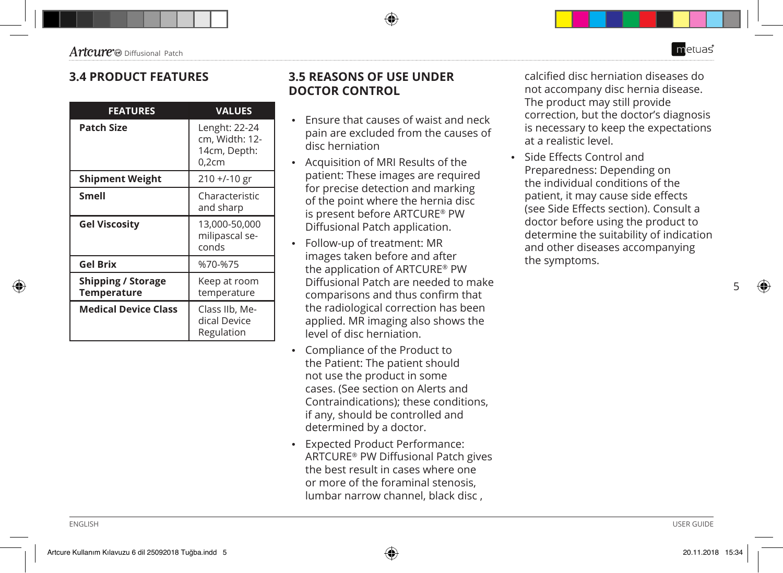⊕

#### **3.4 PRODUCT FEATURES**

| <b>FEATURES</b>                                 | <b>VALUES</b>                                               |
|-------------------------------------------------|-------------------------------------------------------------|
| <b>Patch Size</b>                               | Lenght: 22-24<br>cm, Width: 12-<br>14cm, Depth:<br>$0,2$ cm |
| <b>Shipment Weight</b>                          | $210 + (-10)$ gr                                            |
| Smell                                           | Characteristic<br>and sharp                                 |
| <b>Gel Viscosity</b>                            | 13,000-50,000<br>milipascal se-<br>conds                    |
| <b>Gel Brix</b>                                 | %70-%75                                                     |
| <b>Shipping / Storage</b><br><b>Temperature</b> | Keep at room<br>temperature                                 |
| <b>Medical Device Class</b>                     | Class IIb, Me-<br>dical Device<br>Regulation                |

#### **3.5 REASONS OF USE UNDER DOCTOR CONTROL**

- Ensure that causes of waist and neck pain are excluded from the causes of disc herniation
- Acquisition of MRI Results of the patient: These images are required for precise detection and marking of the point where the hernia disc is present before ARTCURE® PW Diffusional Patch application.
- Follow-up of treatment: MR images taken before and after the application of ARTCURE® PW Diffusional Patch are needed to make comparisons and thus confirm that the radiological correction has been applied. MR imaging also shows the level of disc herniation.
- Compliance of the Product to the Patient: The patient should not use the product in some cases. (See section on Alerts and Contraindications); these conditions, if any, should be controlled and determined by a doctor.
- Expected Product Performance: ARTCURE® PW Diffusional Patch gives the best result in cases where one or more of the foraminal stenosis, lumbar narrow channel, black disc ,

calcified disc herniation diseases do not accompany disc hernia disease. The product may still provide correction, but the doctor's diagnosis is necessary to keep the expectations at a realistic level.

• Side Effects Control and Preparedness: Depending on the individual conditions of the patient, it may cause side effects (see Side Effects section). Consult a doctor before using the product to determine the suitability of indication and other diseases accompanying the symptoms.

5

metuas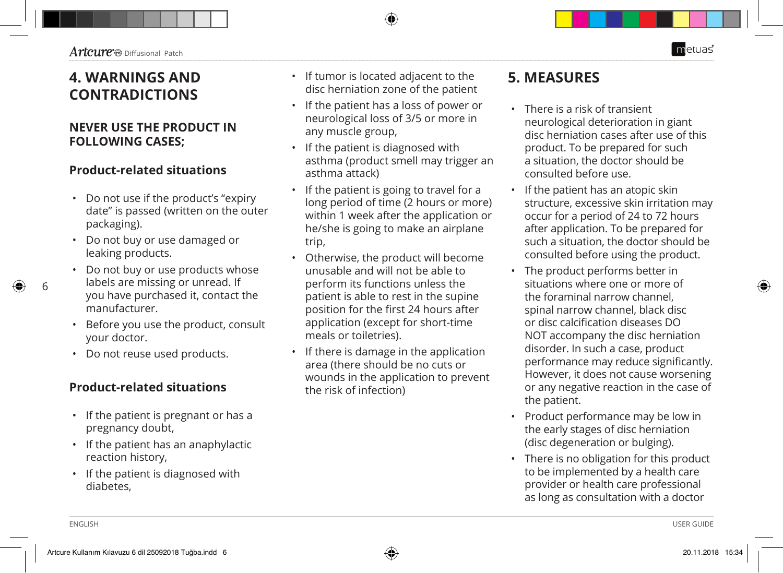# **4. WARNINGS AND CONTRADICTIONS**

### **NEVER USE THE PRODUCT IN FOLLOWING CASES;**

#### **Product-related situations**

- Do not use if the product's "expiry date" is passed (written on the outer packaging).
- Do not buy or use damaged or leaking products.
- Do not buy or use products whose labels are missing or unread. If you have purchased it, contact the manufacturer.
- Before you use the product, consult your doctor.
- Do not reuse used products.

### **Product-related situations**

- If the patient is pregnant or has a pregnancy doubt,
- If the patient has an anaphylactic reaction history,
- If the patient is diagnosed with diabetes,
- If tumor is located adjacent to the disc herniation zone of the patient
- If the patient has a loss of power or neurological loss of 3/5 or more in any muscle group,
- If the patient is diagnosed with asthma (product smell may trigger an asthma attack)
- If the patient is going to travel for a long period of time (2 hours or more) within 1 week after the application or he/she is going to make an airplane trip,
- Otherwise, the product will become unusable and will not be able to perform its functions unless the patient is able to rest in the supine position for the first 24 hours after application (except for short-time meals or toiletries).
- If there is damage in the application area (there should be no cuts or wounds in the application to prevent the risk of infection)

## **5. MEASURES**

- There is a risk of transient neurological deterioration in giant disc herniation cases after use of this product. To be prepared for such a situation, the doctor should be consulted before use.
- If the patient has an atopic skin structure, excessive skin irritation may occur for a period of 24 to 72 hours after application. To be prepared for such a situation, the doctor should be consulted before using the product.
- The product performs better in situations where one or more of the foraminal narrow channel, spinal narrow channel, black disc or disc calcification diseases DO NOT accompany the disc herniation disorder. In such a case, product performance may reduce significantly. However, it does not cause worsening or any negative reaction in the case of the patient.
- Product performance may be low in the early stages of disc herniation (disc degeneration or bulging).
- There is no obligation for this product to be implemented by a health care provider or health care professional as long as consultation with a doctor

metuas

6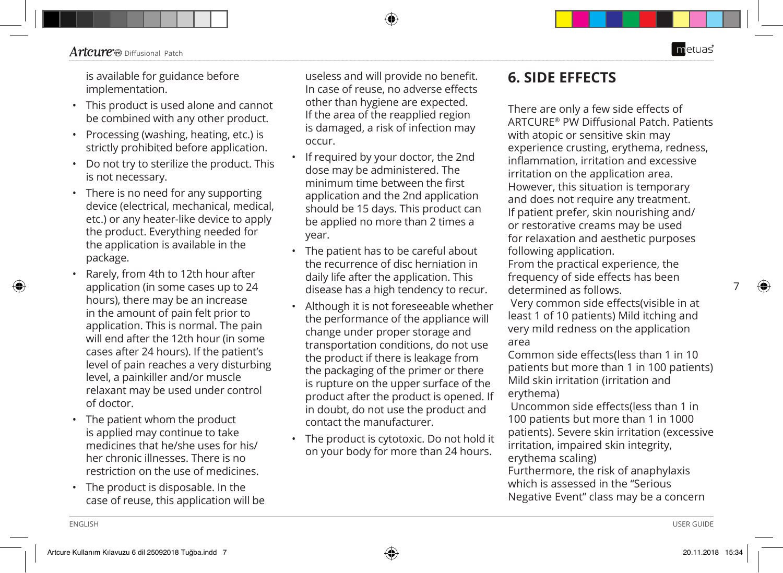◈

is available for guidance before implementation.

- This product is used alone and cannot be combined with any other product.
- Processing (washing, heating, etc.) is strictly prohibited before application.
- Do not try to sterilize the product. This is not necessary.
- There is no need for any supporting device (electrical, mechanical, medical, etc.) or any heater-like device to apply the product. Everything needed for the application is available in the package.
- Rarely, from 4th to 12th hour after application (in some cases up to 24 hours), there may be an increase in the amount of pain felt prior to application. This is normal. The pain will end after the 12th hour (in some cases after 24 hours). If the patient's level of pain reaches a very disturbing level, a painkiller and/or muscle relaxant may be used under control of doctor.
- The patient whom the product is applied may continue to take medicines that he/she uses for his/ her chronic illnesses. There is no restriction on the use of medicines.
- The product is disposable. In the case of reuse, this application will be

useless and will provide no benefit. In case of reuse, no adverse effects other than hygiene are expected. If the area of the reapplied region is damaged, a risk of infection may occur.

- If required by your doctor, the 2nd dose may be administered. The minimum time between the first application and the 2nd application should be 15 days. This product can be applied no more than 2 times a year.
- The patient has to be careful about the recurrence of disc herniation in daily life after the application. This disease has a high tendency to recur.
- Although it is not foreseeable whether the performance of the appliance will change under proper storage and transportation conditions, do not use the product if there is leakage from the packaging of the primer or there is rupture on the upper surface of the product after the product is opened. If in doubt, do not use the product and contact the manufacturer.
- The product is cytotoxic. Do not hold it on your body for more than 24 hours.

## **6. SIDE EFFECTS**

There are only a few side effects of ARTCURE® PW Diffusional Patch. Patients with atopic or sensitive skin may experience crusting, erythema, redness, inflammation, irritation and excessive irritation on the application area. However, this situation is temporary and does not require any treatment. If patient prefer, skin nourishing and/ or restorative creams may be used for relaxation and aesthetic purposes following application.

From the practical experience, the frequency of side effects has been determined as follows.

 Very common side effects(visible in at least 1 of 10 patients) Mild itching and very mild redness on the application area

Common side effects(less than 1 in 10 patients but more than 1 in 100 patients) Mild skin irritation (irritation and erythema)

 Uncommon side effects(less than 1 in 100 patients but more than 1 in 1000 patients). Severe skin irritation (excessive irritation, impaired skin integrity, erythema scaling) Furthermore, the risk of anaphylaxis

which is assessed in the "Serious Negative Event" class may be a concern 7

◈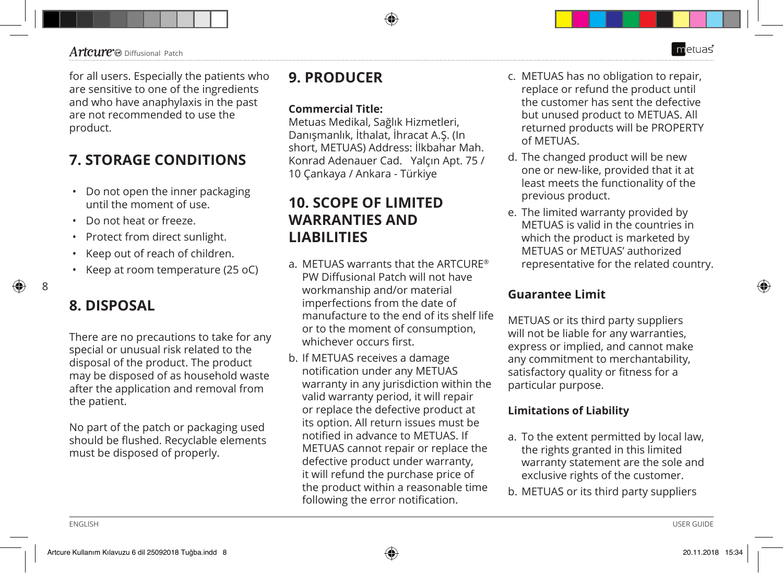#### $Artenre$ <sup>o</sup> Diffusional Patch

for all users. Especially the patients who are sensitive to one of the ingredients and who have anaphylaxis in the past are not recommended to use the product.

## **7. STORAGE CONDITIONS**

- Do not open the inner packaging until the moment of use.
- Do not heat or freeze.
- Protect from direct sunlight.
- Keep out of reach of children.
- Keep at room temperature (25 oC)

8

## **8. DISPOSAL**

There are no precautions to take for any special or unusual risk related to the disposal of the product. The product may be disposed of as household waste after the application and removal from the patient.

No part of the patch or packaging used should be flushed. Recyclable elements must be disposed of properly.

## **9. PRODUCER**

#### **Commercial Title:**

Metuas Medikal, Sağlık Hizmetleri, Danışmanlık, İthalat, İhracat A.Ş. (In short, METUAS) Address: İlkbahar Mah. Konrad Adenauer Cad. Yalçın Apt. 75 / 10 Çankaya / Ankara - Türkiye

## **10. SCOPE OF LIMITED WARRANTIES AND LIABILITIES**

- a. METUAS warrants that the ARTCURE® PW Diffusional Patch will not have workmanship and/or material imperfections from the date of manufacture to the end of its shelf life or to the moment of consumption, whichever occurs first.
- b. If METUAS receives a damage notification under any METUAS warranty in any jurisdiction within the valid warranty period, it will repair or replace the defective product at its option. All return issues must be notified in advance to METUAS. If METUAS cannot repair or replace the defective product under warranty, it will refund the purchase price of the product within a reasonable time following the error notification.
- c. METUAS has no obligation to repair, replace or refund the product until the customer has sent the defective but unused product to METUAS. All returned products will be PROPERTY of METUAS.
- d. The changed product will be new one or new-like, provided that it at least meets the functionality of the previous product.
- e. The limited warranty provided by METUAS is valid in the countries in which the product is marketed by METUAS or METUAS' authorized representative for the related country.

#### **Guarantee Limit**

METUAS or its third party suppliers will not be liable for any warranties, express or implied, and cannot make any commitment to merchantability, satisfactory quality or fitness for a particular purpose.

#### **Limitations of Liability**

- a. To the extent permitted by local law, the rights granted in this limited warranty statement are the sole and exclusive rights of the customer.
- b. METUAS or its third party suppliers

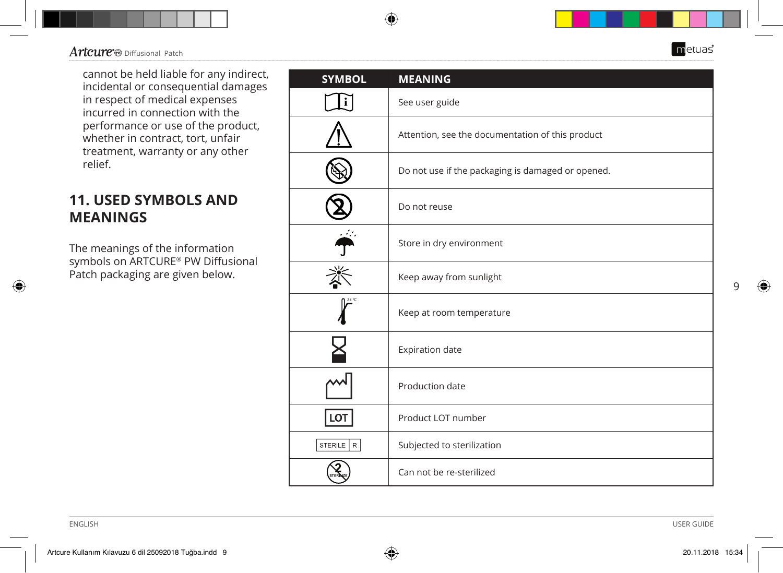cannot be held liable for any indirect, incidental or consequential damages in respect of medical expenses incurred in connection with the performance or use of the product, whether in contract, tort, unfair treatment, warranty or any other relief.

## **11. USED SYMBOLS AND MEANINGS**

The meanings of the information symbols on ARTCURE® PW Diffusional Patch packaging are given below.

| <b>SYMBOL</b>          | <b>MEANING</b>                                    |
|------------------------|---------------------------------------------------|
|                        | See user guide                                    |
|                        | Attention, see the documentation of this product  |
|                        | Do not use if the packaging is damaged or opened. |
|                        | Do not reuse                                      |
|                        | Store in dry environment                          |
|                        | Keep away from sunlight                           |
|                        | Keep at room temperature                          |
|                        | Expiration date                                   |
|                        | Production date                                   |
| LOT                    | Product LOT number                                |
| STERILE<br>$\mathsf R$ | Subjected to sterilization                        |
|                        | Can not be re-sterilized                          |

◈

ENGLISH USER GUIDE

9

 $\bigoplus$